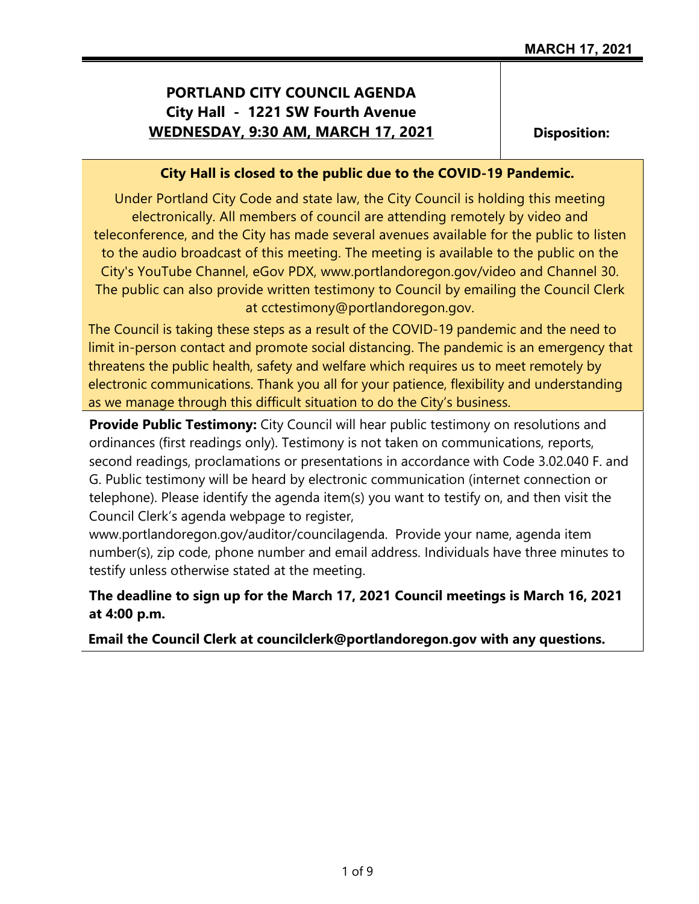# **PORTLAND CITY COUNCIL AGENDA City Hall - 1221 SW Fourth Avenue WEDNESDAY, 9:30 AM, MARCH 17, 2021**

**Disposition:**

#### **City Hall is closed to the public due to the COVID-19 Pandemic.**

Under Portland City Code and state law, the City Council is holding this meeting electronically. All members of council are attending remotely by video and teleconference, and the City has made several avenues available for the public to listen to the audio broadcast of this meeting. The meeting is available to the public on the City's YouTube Channel, eGov PDX, www.portlandoregon.gov/video and Channel 30. The public can also provide written testimony to Council by emailing the Council Clerk at cctestimony@portlandoregon.gov.

The Council is taking these steps as a result of the COVID-19 pandemic and the need to limit in-person contact and promote social distancing. The pandemic is an emergency that threatens the public health, safety and welfare which requires us to meet remotely by electronic communications. Thank you all for your patience, flexibility and understanding as we manage through this difficult situation to do the City's business.

**Provide Public Testimony:** City Council will hear public testimony on resolutions and ordinances (first readings only). Testimony is not taken on communications, reports, second readings, proclamations or presentations in accordance with Code 3.02.040 F. and G. Public testimony will be heard by electronic communication (internet connection or telephone). Please identify the agenda item(s) you want to testify on, and then visit the Council Clerk's agenda webpage to register,

www.portlandoregon.gov/auditor/councilagenda. Provide your name, agenda item number(s), zip code, phone number and email address. Individuals have three minutes to testify unless otherwise stated at the meeting.

**The deadline to sign up for the March 17, 2021 Council meetings is March 16, 2021 at 4:00 p.m.**

**Email the Council Clerk at councilclerk@portlandoregon.gov with any questions.**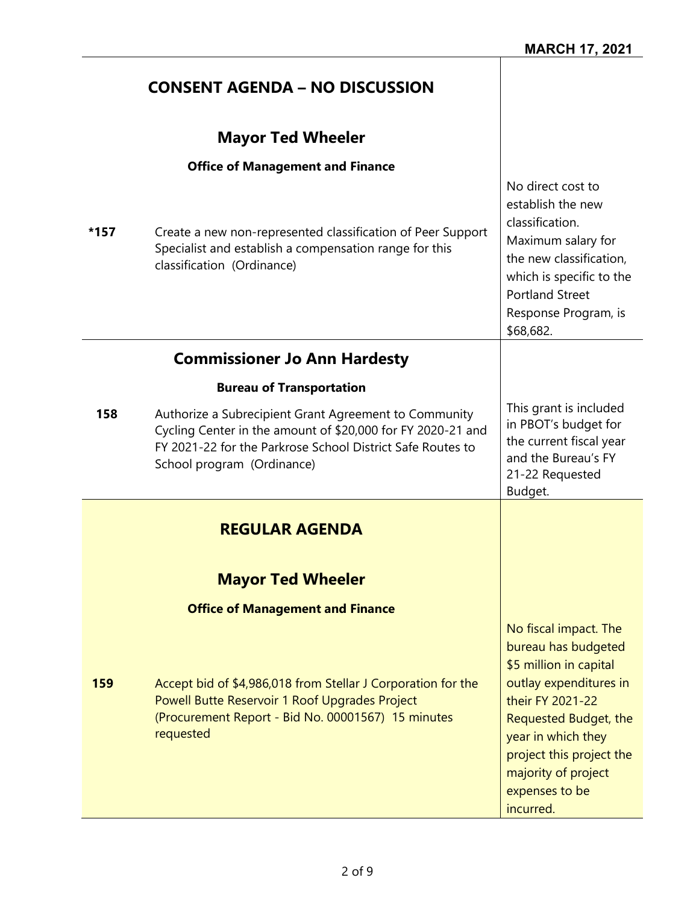|      | <b>CONSENT AGENDA - NO DISCUSSION</b>                                                                                                                                                                            |                                                                                                                                                                                                                                                       |
|------|------------------------------------------------------------------------------------------------------------------------------------------------------------------------------------------------------------------|-------------------------------------------------------------------------------------------------------------------------------------------------------------------------------------------------------------------------------------------------------|
|      | <b>Mayor Ted Wheeler</b>                                                                                                                                                                                         |                                                                                                                                                                                                                                                       |
| *157 | <b>Office of Management and Finance</b><br>Create a new non-represented classification of Peer Support<br>Specialist and establish a compensation range for this<br>classification (Ordinance)                   | No direct cost to<br>establish the new<br>classification.<br>Maximum salary for<br>the new classification,<br>which is specific to the<br><b>Portland Street</b><br>Response Program, is<br>\$68,682.                                                 |
|      | <b>Commissioner Jo Ann Hardesty</b>                                                                                                                                                                              |                                                                                                                                                                                                                                                       |
|      | <b>Bureau of Transportation</b>                                                                                                                                                                                  |                                                                                                                                                                                                                                                       |
| 158  | Authorize a Subrecipient Grant Agreement to Community<br>Cycling Center in the amount of \$20,000 for FY 2020-21 and<br>FY 2021-22 for the Parkrose School District Safe Routes to<br>School program (Ordinance) | This grant is included<br>in PBOT's budget for<br>the current fiscal year<br>and the Bureau's FY<br>21-22 Requested<br>Budget.                                                                                                                        |
|      | <b>REGULAR AGENDA</b>                                                                                                                                                                                            |                                                                                                                                                                                                                                                       |
|      | <b>Mayor Ted Wheeler</b>                                                                                                                                                                                         |                                                                                                                                                                                                                                                       |
|      | <b>Office of Management and Finance</b>                                                                                                                                                                          |                                                                                                                                                                                                                                                       |
| 159  | Accept bid of \$4,986,018 from Stellar J Corporation for the<br>Powell Butte Reservoir 1 Roof Upgrades Project<br>(Procurement Report - Bid No. 00001567) 15 minutes<br>requested                                | No fiscal impact. The<br>bureau has budgeted<br>\$5 million in capital<br>outlay expenditures in<br>their FY 2021-22<br>Requested Budget, the<br>year in which they<br>project this project the<br>majority of project<br>expenses to be<br>incurred. |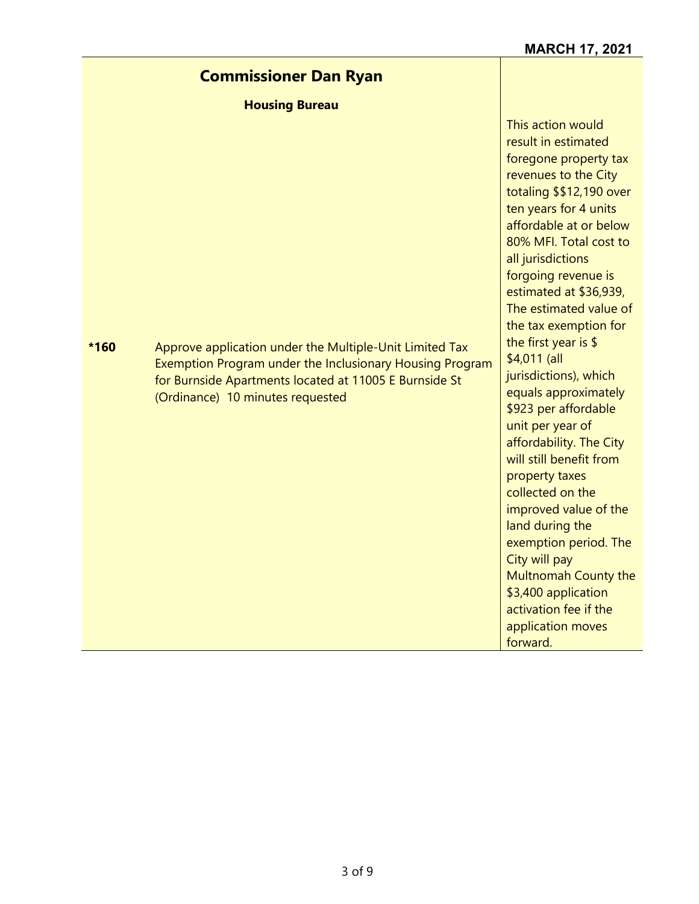## **Commissioner Dan Ryan**

**Housing Bureau**

**\*160** Approve application under the Multiple-Unit Limited Tax Exemption Program under the Inclusionary Housing Program for Burnside Apartments located at 11005 E Burnside St (Ordinance) 10 minutes requested

This action would result in estimated foregone property tax revenues to the City totaling \$\$12,190 over ten years for 4 units affordable at or below 80% MFI. Total cost to all jurisdictions forgoing revenue is estimated at \$36,939, The estimated value of the tax exemption for the first year is \$ \$4,011 (all jurisdictions), which equals approximately \$923 per affordable unit per year of affordability. The City will still benefit from property taxes collected on the improved value of the land during the exemption period. The City will pay Multnomah County the \$3,400 application activation fee if the application moves forward.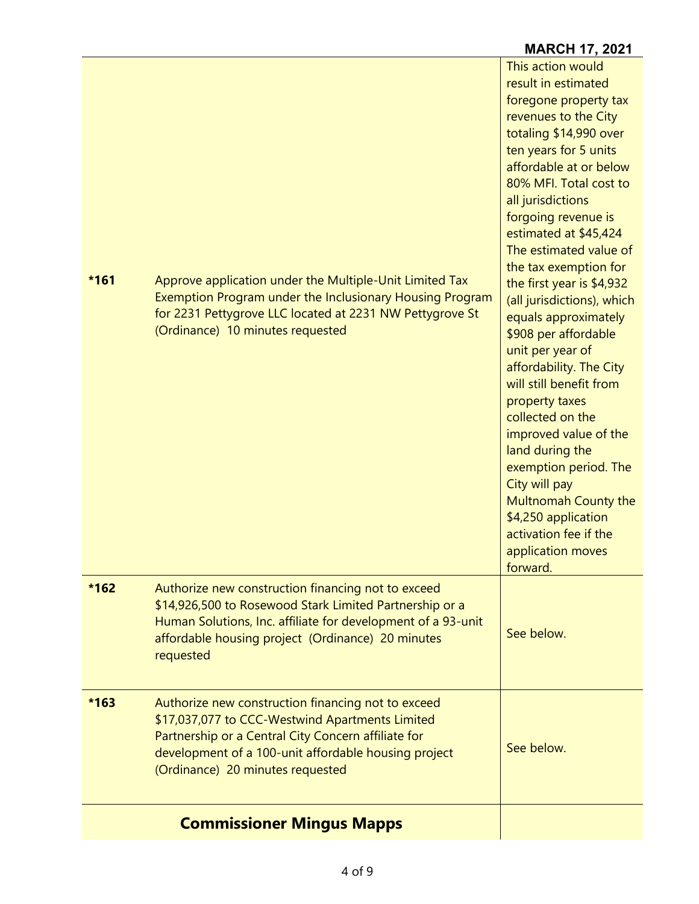|        |                                                                                                                                                                                                                                                          | <b>MARCH 17, 2021</b>                                                                                                                                                                                                                                                                                                                                                                                                                                                                                                                                                                                                                                                                                                                              |
|--------|----------------------------------------------------------------------------------------------------------------------------------------------------------------------------------------------------------------------------------------------------------|----------------------------------------------------------------------------------------------------------------------------------------------------------------------------------------------------------------------------------------------------------------------------------------------------------------------------------------------------------------------------------------------------------------------------------------------------------------------------------------------------------------------------------------------------------------------------------------------------------------------------------------------------------------------------------------------------------------------------------------------------|
| $*161$ | Approve application under the Multiple-Unit Limited Tax<br>Exemption Program under the Inclusionary Housing Program<br>for 2231 Pettygrove LLC located at 2231 NW Pettygrove St<br>(Ordinance) 10 minutes requested                                      | This action would<br>result in estimated<br>foregone property tax<br>revenues to the City<br>totaling \$14,990 over<br>ten years for 5 units<br>affordable at or below<br>80% MFI. Total cost to<br>all jurisdictions<br>forgoing revenue is<br>estimated at \$45,424<br>The estimated value of<br>the tax exemption for<br>the first year is \$4,932<br>(all jurisdictions), which<br>equals approximately<br>\$908 per affordable<br>unit per year of<br>affordability. The City<br>will still benefit from<br>property taxes<br>collected on the<br>improved value of the<br>land during the<br>exemption period. The<br>City will pay<br>Multnomah County the<br>\$4,250 application<br>activation fee if the<br>application moves<br>forward. |
| $*162$ | Authorize new construction financing not to exceed<br>\$14,926,500 to Rosewood Stark Limited Partnership or a<br>Human Solutions, Inc. affiliate for development of a 93-unit<br>affordable housing project (Ordinance) 20 minutes<br>requested          | See below.                                                                                                                                                                                                                                                                                                                                                                                                                                                                                                                                                                                                                                                                                                                                         |
| $*163$ | Authorize new construction financing not to exceed<br>\$17,037,077 to CCC-Westwind Apartments Limited<br>Partnership or a Central City Concern affiliate for<br>development of a 100-unit affordable housing project<br>(Ordinance) 20 minutes requested | See below.                                                                                                                                                                                                                                                                                                                                                                                                                                                                                                                                                                                                                                                                                                                                         |
|        | <b>Commissioner Mingus Mapps</b>                                                                                                                                                                                                                         |                                                                                                                                                                                                                                                                                                                                                                                                                                                                                                                                                                                                                                                                                                                                                    |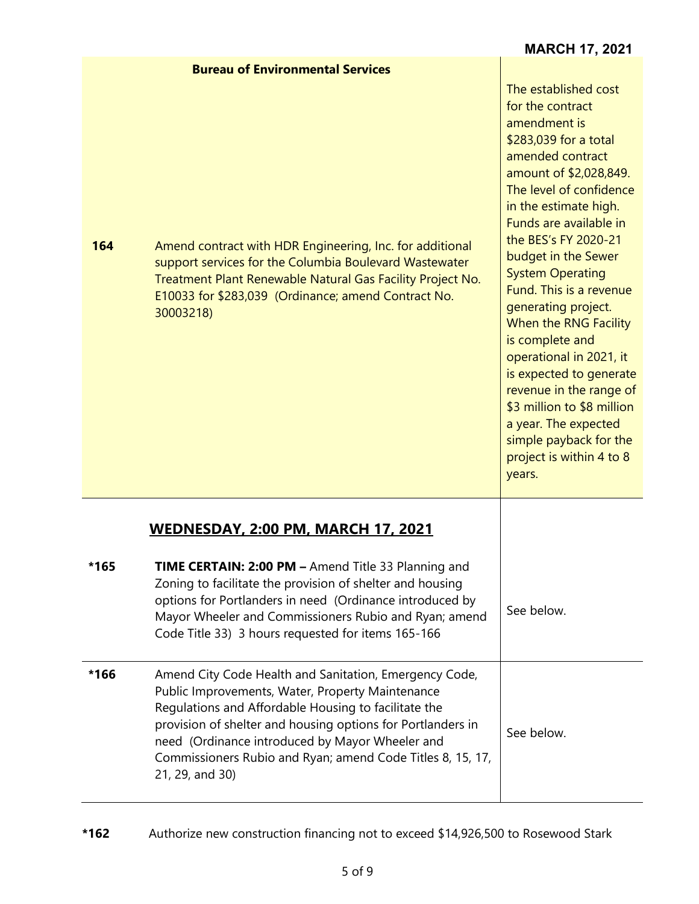|      |                                                                                                                                                                                                                                                                                                                                                                       | <b>MARCH 17, 2021</b>                                                                                                                                                                                                                                                                                                                                                                                                                                                                                                                                                                        |
|------|-----------------------------------------------------------------------------------------------------------------------------------------------------------------------------------------------------------------------------------------------------------------------------------------------------------------------------------------------------------------------|----------------------------------------------------------------------------------------------------------------------------------------------------------------------------------------------------------------------------------------------------------------------------------------------------------------------------------------------------------------------------------------------------------------------------------------------------------------------------------------------------------------------------------------------------------------------------------------------|
| 164  | <b>Bureau of Environmental Services</b><br>Amend contract with HDR Engineering, Inc. for additional<br>support services for the Columbia Boulevard Wastewater<br>Treatment Plant Renewable Natural Gas Facility Project No.<br>E10033 for \$283,039 (Ordinance; amend Contract No.<br>30003218)                                                                       | The established cost<br>for the contract<br>amendment is<br>\$283,039 for a total<br>amended contract<br>amount of \$2,028,849.<br>The level of confidence<br>in the estimate high.<br>Funds are available in<br>the BES's FY 2020-21<br>budget in the Sewer<br><b>System Operating</b><br>Fund. This is a revenue<br>generating project.<br>When the RNG Facility<br>is complete and<br>operational in 2021, it<br>is expected to generate<br>revenue in the range of<br>\$3 million to \$8 million<br>a year. The expected<br>simple payback for the<br>project is within 4 to 8<br>years. |
| *165 | <b>WEDNESDAY, 2:00 PM, MARCH 17, 2021</b><br><b>TIME CERTAIN: 2:00 PM - Amend Title 33 Planning and</b><br>Zoning to facilitate the provision of shelter and housing<br>options for Portlanders in need (Ordinance introduced by<br>Mayor Wheeler and Commissioners Rubio and Ryan; amend<br>Code Title 33) 3 hours requested for items 165-166                       | See below.                                                                                                                                                                                                                                                                                                                                                                                                                                                                                                                                                                                   |
| *166 | Amend City Code Health and Sanitation, Emergency Code,<br>Public Improvements, Water, Property Maintenance<br>Regulations and Affordable Housing to facilitate the<br>provision of shelter and housing options for Portlanders in<br>need (Ordinance introduced by Mayor Wheeler and<br>Commissioners Rubio and Ryan; amend Code Titles 8, 15, 17,<br>21, 29, and 30) | See below.                                                                                                                                                                                                                                                                                                                                                                                                                                                                                                                                                                                   |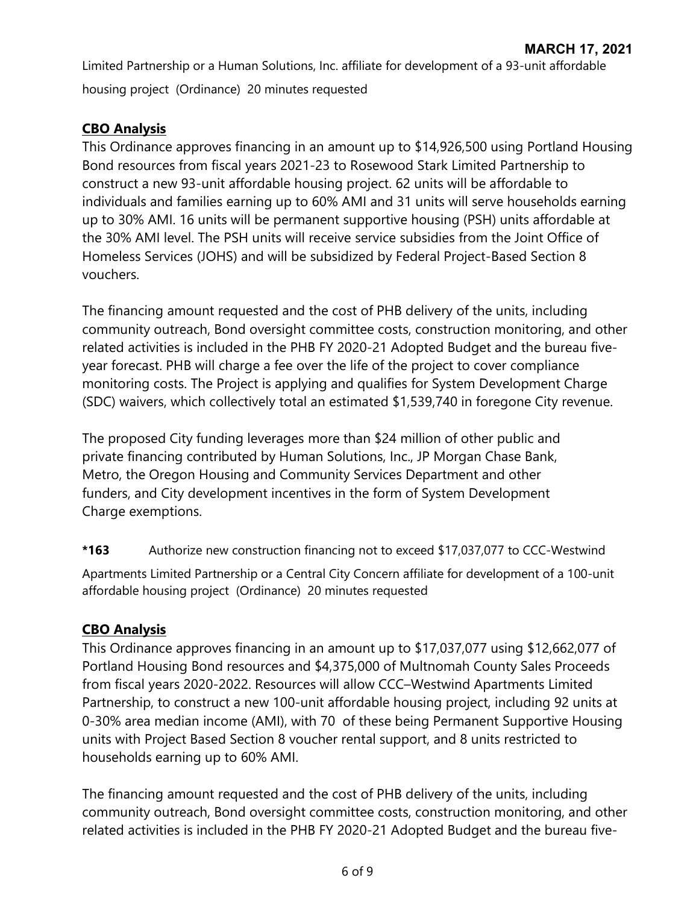Limited Partnership or a Human Solutions, Inc. affiliate for development of a 93-unit affordable housing project (Ordinance) 20 minutes requested

## **CBO Analysis**

This Ordinance approves financing in an amount up to \$14,926,500 using Portland Housing Bond resources from fiscal years 2021-23 to Rosewood Stark Limited Partnership to construct a new 93-unit affordable housing project. 62 units will be affordable to individuals and families earning up to 60% AMI and 31 units will serve households earning up to 30% AMI. 16 units will be permanent supportive housing (PSH) units affordable at the 30% AMI level. The PSH units will receive service subsidies from the Joint Office of Homeless Services (JOHS) and will be subsidized by Federal Project-Based Section 8 vouchers.

The financing amount requested and the cost of PHB delivery of the units, including community outreach, Bond oversight committee costs, construction monitoring, and other related activities is included in the PHB FY 2020-21 Adopted Budget and the bureau fiveyear forecast. PHB will charge a fee over the life of the project to cover compliance monitoring costs. The Project is applying and qualifies for System Development Charge (SDC) waivers, which collectively total an estimated \$1,539,740 in foregone City revenue.

The proposed City funding leverages more than \$24 million of other public and private financing contributed by Human Solutions, Inc., JP Morgan Chase Bank, Metro, the Oregon Housing and Community Services Department and other funders, and City development incentives in the form of System Development Charge exemptions.

### **\*163** Authorize new construction financing not to exceed \$17,037,077 to CCC-Westwind

Apartments Limited Partnership or a Central City Concern affiliate for development of a 100-unit affordable housing project (Ordinance) 20 minutes requested

### **CBO Analysis**

This Ordinance approves financing in an amount up to \$17,037,077 using \$12,662,077 of Portland Housing Bond resources and \$4,375,000 of Multnomah County Sales Proceeds from fiscal years 2020-2022. Resources will allow CCC–Westwind Apartments Limited Partnership, to construct a new 100-unit affordable housing project, including 92 units at 0-30% area median income (AMI), with 70 of these being Permanent Supportive Housing units with Project Based Section 8 voucher rental support, and 8 units restricted to households earning up to 60% AMI.

The financing amount requested and the cost of PHB delivery of the units, including community outreach, Bond oversight committee costs, construction monitoring, and other related activities is included in the PHB FY 2020-21 Adopted Budget and the bureau five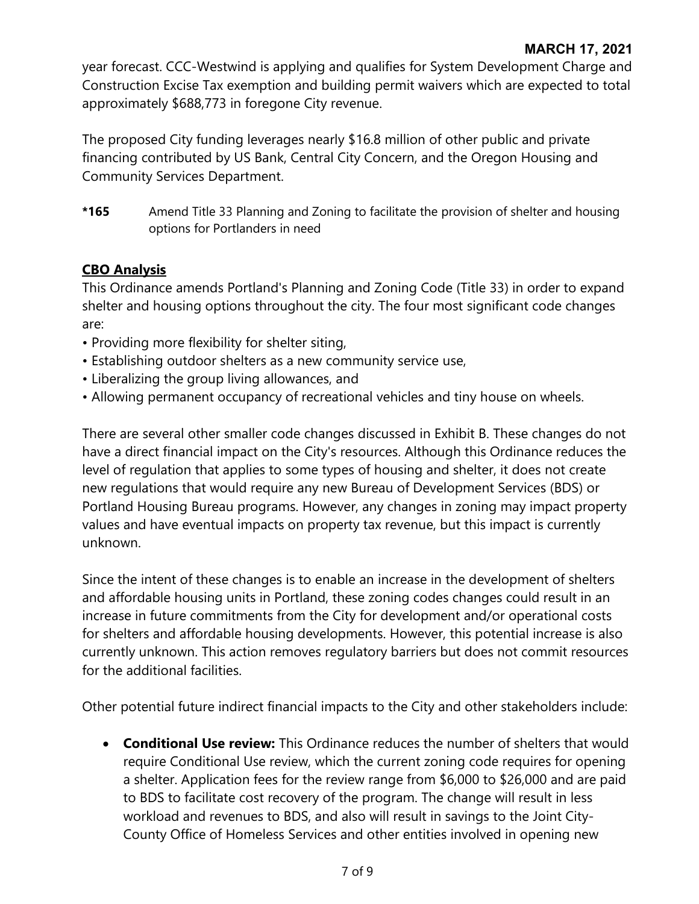year forecast. CCC-Westwind is applying and qualifies for System Development Charge and Construction Excise Tax exemption and building permit waivers which are expected to total approximately \$688,773 in foregone City revenue.

The proposed City funding leverages nearly \$16.8 million of other public and private financing contributed by US Bank, Central City Concern, and the Oregon Housing and Community Services Department.

**\*165** Amend Title 33 Planning and Zoning to facilitate the provision of shelter and housing options for Portlanders in need

## **CBO Analysis**

This Ordinance amends Portland's Planning and Zoning Code (Title 33) in order to expand shelter and housing options throughout the city. The four most significant code changes are:

- Providing more flexibility for shelter siting,
- Establishing outdoor shelters as a new community service use,
- Liberalizing the group living allowances, and
- Allowing permanent occupancy of recreational vehicles and tiny house on wheels.

There are several other smaller code changes discussed in Exhibit B. These changes do not have a direct financial impact on the City's resources. Although this Ordinance reduces the level of regulation that applies to some types of housing and shelter, it does not create new regulations that would require any new Bureau of Development Services (BDS) or Portland Housing Bureau programs. However, any changes in zoning may impact property values and have eventual impacts on property tax revenue, but this impact is currently unknown.

Since the intent of these changes is to enable an increase in the development of shelters and affordable housing units in Portland, these zoning codes changes could result in an increase in future commitments from the City for development and/or operational costs for shelters and affordable housing developments. However, this potential increase is also currently unknown. This action removes regulatory barriers but does not commit resources for the additional facilities.

Other potential future indirect financial impacts to the City and other stakeholders include:

• **Conditional Use review:** This Ordinance reduces the number of shelters that would require Conditional Use review, which the current zoning code requires for opening a shelter. Application fees for the review range from \$6,000 to \$26,000 and are paid to BDS to facilitate cost recovery of the program. The change will result in less workload and revenues to BDS, and also will result in savings to the Joint City-County Office of Homeless Services and other entities involved in opening new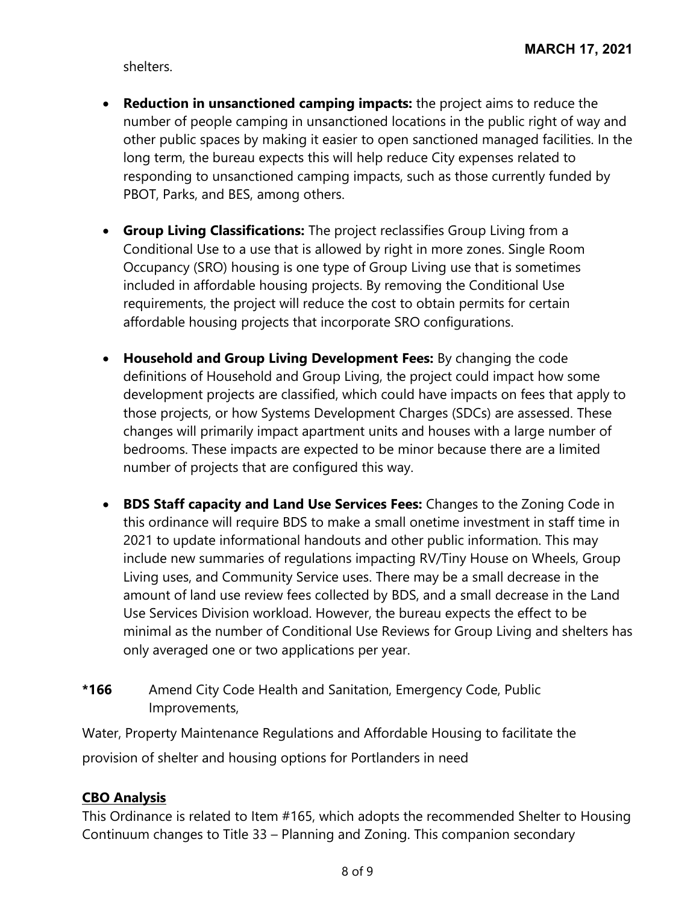shelters.

- **Reduction in unsanctioned camping impacts:** the project aims to reduce the number of people camping in unsanctioned locations in the public right of way and other public spaces by making it easier to open sanctioned managed facilities. In the long term, the bureau expects this will help reduce City expenses related to responding to unsanctioned camping impacts, such as those currently funded by PBOT, Parks, and BES, among others.
- **Group Living Classifications:** The project reclassifies Group Living from a Conditional Use to a use that is allowed by right in more zones. Single Room Occupancy (SRO) housing is one type of Group Living use that is sometimes included in affordable housing projects. By removing the Conditional Use requirements, the project will reduce the cost to obtain permits for certain affordable housing projects that incorporate SRO configurations.
- **Household and Group Living Development Fees:** By changing the code definitions of Household and Group Living, the project could impact how some development projects are classified, which could have impacts on fees that apply to those projects, or how Systems Development Charges (SDCs) are assessed. These changes will primarily impact apartment units and houses with a large number of bedrooms. These impacts are expected to be minor because there are a limited number of projects that are configured this way.
- **BDS Staff capacity and Land Use Services Fees:** Changes to the Zoning Code in this ordinance will require BDS to make a small onetime investment in staff time in 2021 to update informational handouts and other public information. This may include new summaries of regulations impacting RV/Tiny House on Wheels, Group Living uses, and Community Service uses. There may be a small decrease in the amount of land use review fees collected by BDS, and a small decrease in the Land Use Services Division workload. However, the bureau expects the effect to be minimal as the number of Conditional Use Reviews for Group Living and shelters has only averaged one or two applications per year.
- **\*166** Amend City Code Health and Sanitation, Emergency Code, Public Improvements,

Water, Property Maintenance Regulations and Affordable Housing to facilitate the provision of shelter and housing options for Portlanders in need

## **CBO Analysis**

This Ordinance is related to Item #165, which adopts the recommended Shelter to Housing Continuum changes to Title 33 – Planning and Zoning. This companion secondary